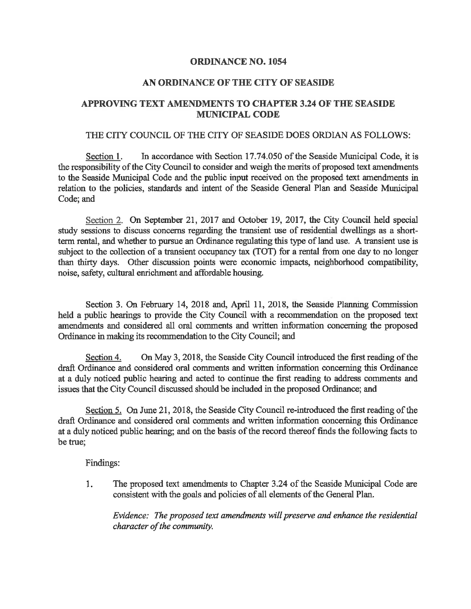## ORDINANCE NO. 1054

## AN ORDINANCE OF THE CITY OF SEASTOE

# APPROVING TEXT AMENDMENTS TO CHAPTER 3.24 OF THE SEASIDE MUNICIPAL CODE

#### THE CITY COUNCIL OF THE CITY OF SEASIDE DOES ORDIAN AS FOLLOWS:

Section 1. In accordance with Section 17.74.050 of the Seaside Municipal Code, it is the responsibility of the City Council to consider and weigh the merits of proposed text amendments to the Seaside Municipal Code and the public input received on the proposed text amendments in relation to the policies, standards and intent of the Seaside General Plan and Seaside Municipal Code; and

Section 2. On September 21, 2017 and October 19, 2017, the City Council held special study sessions to discuss concerns regarding the transient use of residential dwellings as a shortterm rental, and whether to pursue an Ordinance regulating this type of land use. A transient use is subject to the collection of a transient occupancy tax (TOT) for a rental from one day to no longer than thirty days. Other discussion points were economic impacts, neighborhood compatibility, noise, safety, cultural enrichment and affordable housing.

Section 3. On February 14, 2018 and, April 11, 2018, the Seaside Plammig Commission held a public hearings to provide the City Council with a recommendation on the proposed text amendments and considered all oral comments and written information concerning the proposed Ordinance in making its recommendation to the City Council; and

Section 4. On May 3, 2018, the Seaside City Council introduced fhe first reading of the draft Ordinance and considered oral comments and written information concerning this Ordinance at a duly noticed public hearing and acted to continue the first reading to address comments and issues that the City Council discussed should be included in the proposed Ordinance; and

Section 5. On June 21, 2018, the Seaside City Council re-introduced the first reading of the draft Ordinance and considered oral comments and written information concerning this Ordinance at a duly noticed public hearing; and on the basis of the record thereof finds the following facts to be true;

Findings:

1. The proposed text amendments to Chapter 3.24 of the Seaside Municipal Code are consistent with the goals and policies of all elements of the General Plan.

Evidence: The proposed text amendments will preserve and enhance the residential character of the community.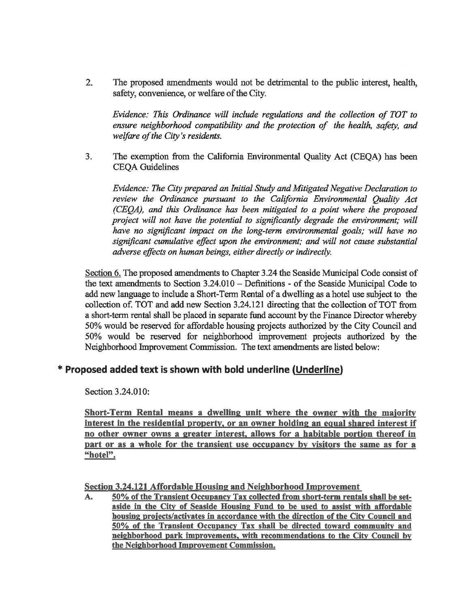2. The proposed amendments would not be detrimental to the public interest, health, safety, convenience, or welfare of the City.

Evidence: This Ordinance will include regulations and the collection of TOT to ensure neighborhood compatibility and the protection of the health, safety, and welfare of the City's residents.

3. The exemption from the California Environmental Quality Act (CEQA) has been CEQA Guidelines

Evidence: The City prepared an Initial Study and Mitigated Negative Declaration to review the Ordinance pursuant to the California Environmental Quality Act (CEQA), and this Ordinance has been mitigated to a point where the proposed project will not have the potential to significantly degrade the environment; will have no significant impact on the long-term environmental goals; will have no significant cumulative effect upon the environment; and will not cause substantial adverse effects on human beings, either directly or indirectly.

Section 6. The proposed amendments to Chapter 3.24 the Seaside Municipal Code consist of the text amendments to Section 3.24.010 - Definitions - of the Seaside Municipal Code to add new language to include a Short-Term Rental of a dwelling as a hotel use subject to the collection of. TOT and add new Section 3.24.121 directing that the collection of TOT from a short-term rental shall be placed in separate fund account by the Finance Director whereby 50% would be reserved for affordable housing projects authorized by the City Council and 50% would be reserved for neighborhood improvement projects authorized by the Neighborhood Improvement Commission. The text amendments are listed below:

# \* Proposed added text is shown with bold underline (Underline)

Section 3.24.010:

Short-Term Rental means a dwelling unit where the owner with the majority interest in the residential property. or an owner holding an equal shared interest if no other owner owns a ereater interest, allows for a habitable portion thereof in part or as a whole for the transient use occupancy by visitors the same as for a "hotel".

Section 3.24.121 Affordable Housing and Neighborhood Improvement

A. 50% of the Transient Occupancy Tax collected from short-term rentals shall be setaside in the City of Seaside Housine Fund to be used to assist with affordable housing projects/activates in accordance with the direction of the City Council and 50% of the Transient Occupancy Tax shall be directed toward community and neighborhood park improvements, with recommendations to the City Council by the Neighborhood Improvement Commission.